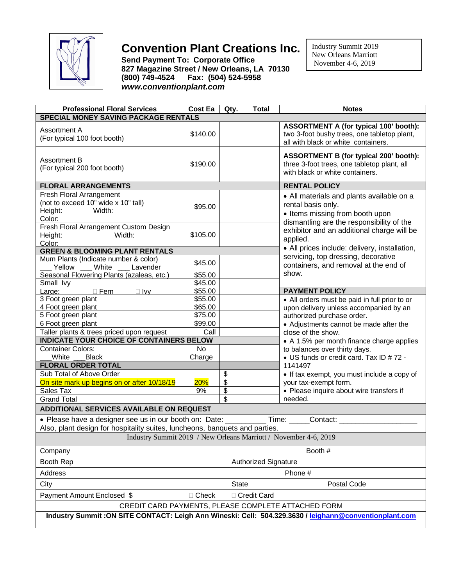

## **Convention Plant Creations Inc.**

**Send Payment To: Corporate Office 827 Magazine Street / New Orleans, LA 70130 (800) 749-4524 Fax: (504) 524-5958** *www.conventionplant.com*

 Industry Summit 2019 New Orleans Marriott November 4-6, 2019

| <b>Professional Floral Services</b>                                                                                                                                          | <b>Cost Ea</b>              | Qty. | <b>Total</b>                              | <b>Notes</b>                                                                                                                                                                                              |  |
|------------------------------------------------------------------------------------------------------------------------------------------------------------------------------|-----------------------------|------|-------------------------------------------|-----------------------------------------------------------------------------------------------------------------------------------------------------------------------------------------------------------|--|
| <b>SPECIAL MONEY SAVING PACKAGE RENTALS</b>                                                                                                                                  |                             |      |                                           |                                                                                                                                                                                                           |  |
| Assortment A<br>(For typical 100 foot booth)                                                                                                                                 | \$140.00                    |      |                                           | <b>ASSORTMENT A (for typical 100' booth):</b><br>two 3-foot bushy trees, one tabletop plant,<br>all with black or white containers.                                                                       |  |
| <b>Assortment B</b><br>(For typical 200 foot booth)                                                                                                                          | \$190.00                    |      |                                           | <b>ASSORTMENT B (for typical 200' booth):</b><br>three 3-foot trees, one tabletop plant, all<br>with black or white containers.                                                                           |  |
| <b>FLORAL ARRANGEMENTS</b>                                                                                                                                                   |                             |      |                                           | <b>RENTAL POLICY</b>                                                                                                                                                                                      |  |
| Fresh Floral Arrangement<br>(not to exceed 10" wide x 10" tall)<br>Width:<br>Height:<br>Color:                                                                               | \$95.00                     |      |                                           | • All materials and plants available on a<br>rental basis only.<br>• Items missing from booth upon<br>dismantling are the responsibility of the<br>exhibitor and an additional charge will be<br>applied. |  |
| Fresh Floral Arrangement Custom Design<br>Width:<br>Height:<br>Color:                                                                                                        | \$105.00                    |      |                                           |                                                                                                                                                                                                           |  |
| <b>GREEN &amp; BLOOMING PLANT RENTALS</b>                                                                                                                                    |                             |      |                                           | • All prices include: delivery, installation,                                                                                                                                                             |  |
| Mum Plants (Indicate number & color)<br>Yellow<br>White<br>Lavender                                                                                                          | \$45.00                     |      |                                           | servicing, top dressing, decorative<br>containers, and removal at the end of                                                                                                                              |  |
| Seasonal Flowering Plants (azaleas, etc.)                                                                                                                                    | \$55.00                     |      |                                           | show.                                                                                                                                                                                                     |  |
| Small Ivy                                                                                                                                                                    | \$45.00                     |      |                                           |                                                                                                                                                                                                           |  |
| $\square$ Fern<br>Large:<br>$\Box$ Ivy                                                                                                                                       | \$55.00<br>\$55.00          |      |                                           | <b>PAYMENT POLICY</b>                                                                                                                                                                                     |  |
| 3 Foot green plant<br>4 Foot green plant                                                                                                                                     | \$65.00                     |      |                                           | • All orders must be paid in full prior to or                                                                                                                                                             |  |
| 5 Foot green plant                                                                                                                                                           | \$75.00                     |      |                                           | upon delivery unless accompanied by an<br>authorized purchase order.                                                                                                                                      |  |
| 6 Foot green plant                                                                                                                                                           | \$99.00                     |      |                                           | • Adjustments cannot be made after the                                                                                                                                                                    |  |
| Taller plants & trees priced upon request                                                                                                                                    | Call                        |      |                                           | close of the show.                                                                                                                                                                                        |  |
| <b>INDICATE YOUR CHOICE OF CONTAINERS BELOW</b>                                                                                                                              |                             |      | • A 1.5% per month finance charge applies |                                                                                                                                                                                                           |  |
| <b>Container Colors:</b>                                                                                                                                                     | No                          |      |                                           | to balances over thirty days.                                                                                                                                                                             |  |
| White<br><b>Black</b>                                                                                                                                                        | Charge                      |      |                                           | • US funds or credit card. Tax ID #72 -                                                                                                                                                                   |  |
| <b>FLORAL ORDER TOTAL</b>                                                                                                                                                    |                             |      |                                           | 1141497                                                                                                                                                                                                   |  |
| Sub Total of Above Order                                                                                                                                                     |                             | \$   |                                           | • If tax exempt, you must include a copy of                                                                                                                                                               |  |
| On site mark up begins on or after 10/18/19                                                                                                                                  | 20%                         | \$   |                                           | your tax-exempt form.                                                                                                                                                                                     |  |
| Sales Tax                                                                                                                                                                    | 9%                          | \$   |                                           | • Please inquire about wire transfers if                                                                                                                                                                  |  |
| <b>Grand Total</b>                                                                                                                                                           |                             | \$   |                                           | needed.                                                                                                                                                                                                   |  |
| <b>ADDITIONAL SERVICES AVAILABLE ON REQUEST</b>                                                                                                                              |                             |      |                                           |                                                                                                                                                                                                           |  |
| • Please have a designer see us in our booth on: Date: ___________Time: _____Contact: _______<br>Also, plant design for hospitality suites, luncheons, banquets and parties. |                             |      |                                           |                                                                                                                                                                                                           |  |
| Industry Summit 2019 / New Orleans Marriott / November 4-6, 2019                                                                                                             |                             |      |                                           |                                                                                                                                                                                                           |  |
| Booth #<br>Company                                                                                                                                                           |                             |      |                                           |                                                                                                                                                                                                           |  |
| Booth Rep<br><b>Authorized Signature</b>                                                                                                                                     |                             |      |                                           |                                                                                                                                                                                                           |  |
| Address                                                                                                                                                                      | Phone #                     |      |                                           |                                                                                                                                                                                                           |  |
| City                                                                                                                                                                         | <b>State</b><br>Postal Code |      |                                           |                                                                                                                                                                                                           |  |
| Payment Amount Enclosed \$<br>$\Box$ Check<br>□ Credit Card                                                                                                                  |                             |      |                                           |                                                                                                                                                                                                           |  |
| CREDIT CARD PAYMENTS, PLEASE COMPLETE ATTACHED FORM                                                                                                                          |                             |      |                                           |                                                                                                                                                                                                           |  |
| Industry Summit: ON SITE CONTACT: Leigh Ann Wineski: Cell: 504.329.3630 / leighann@conventionplant.com                                                                       |                             |      |                                           |                                                                                                                                                                                                           |  |